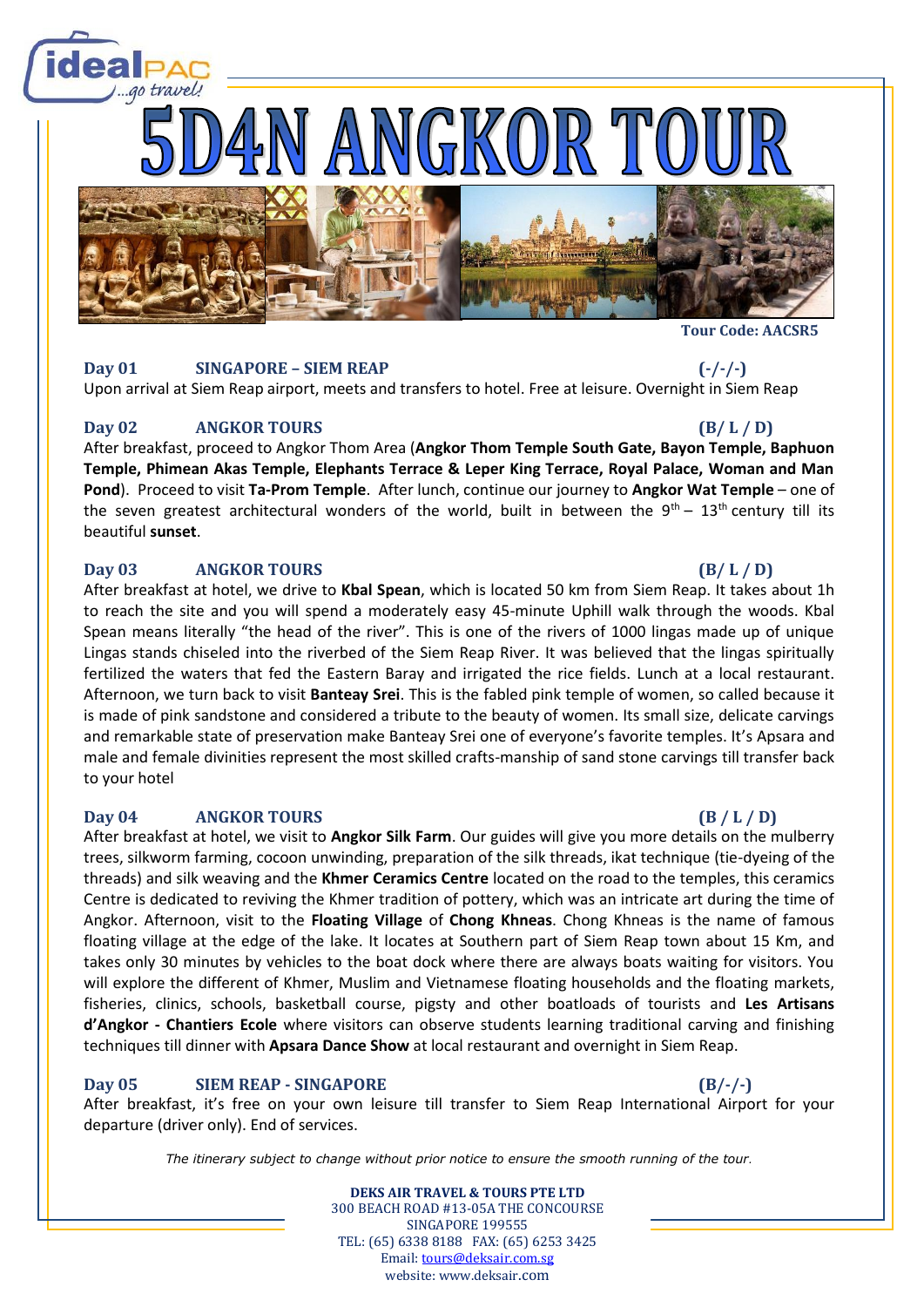

GKMR



## **Day 01 SINGAPORE – SIEM REAP (-/-/-)**

Upon arrival at Siem Reap airport, meets and transfers to hotel. Free at leisure. Overnight in Siem Reap

## **Day 02 ANGKOR TOURS (B/ L / D)**

After breakfast, proceed to Angkor Thom Area (**Angkor Thom Temple South Gate, Bayon Temple, Baphuon Temple, Phimean Akas Temple, Elephants Terrace & Leper King Terrace, Royal Palace, Woman and Man Pond**). Proceed to visit **Ta-Prom Temple**. After lunch, continue our journey to **Angkor Wat Temple** – one of the seven greatest architectural wonders of the world, built in between the  $9^{th}$  –  $13^{th}$  century till its beautiful **sunset**.

# **Day 03 ANGKOR TOURS (B/ L / D)**

After breakfast at hotel, we drive to **Kbal Spean**, which is located 50 km from Siem Reap. It takes about 1h to reach the site and you will spend a moderately easy 45-minute Uphill walk through the woods. Kbal Spean means literally "the head of the river". This is one of the rivers of 1000 lingas made up of unique Lingas stands chiseled into the riverbed of the Siem Reap River. It was believed that the lingas spiritually fertilized the waters that fed the Eastern Baray and irrigated the rice fields. Lunch at a local restaurant. Afternoon, we turn back to visit **Banteay Srei**. This is the fabled pink temple of women, so called because it is made of pink sandstone and considered a tribute to the beauty of women. Its small size, delicate carvings and remarkable state of preservation make Banteay Srei one of everyone's favorite temples. It's Apsara and male and female divinities represent the most skilled crafts-manship of sand stone carvings till transfer back to your hotel

# **Day 04 ANGKOR TOURS (B / L / D)**

After breakfast at hotel, we visit to **Angkor Silk Farm**. Our guides will give you more details on the mulberry trees, silkworm farming, cocoon unwinding, preparation of the silk threads, ikat technique (tie-dyeing of the threads) and silk weaving and the **Khmer Ceramics Centre** located on the road to the temples, this ceramics Centre is dedicated to reviving the Khmer tradition of pottery, which was an intricate art during the time of Angkor. Afternoon, visit to the **Floating Village** of **Chong Khneas**. Chong Khneas is the name of famous floating village at the edge of the lake. It locates at Southern part of Siem Reap town about 15 Km, and takes only 30 minutes by vehicles to the boat dock where there are always boats waiting for visitors. You will explore the different of Khmer, Muslim and Vietnamese floating households and the floating markets, fisheries, clinics, schools, basketball course, pigsty and other boatloads of tourists and **Les Artisans d'Angkor - Chantiers Ecole** where visitors can observe students learning traditional carving and finishing techniques till dinner with **Apsara Dance Show** at local restaurant and overnight in Siem Reap.

## **Day 05 SIEM REAP - SINGAPORE (B/-/-)**

departure (driver only). End of services.

After breakfast, it's free on your own leisure till transfer to Siem Reap International Airport for your

*The itinerary subject to change without prior notice to ensure the smooth running of the tour.*

**DEKS AIR TRAVEL & TOURS PTE LTD** 300 BEACH ROAD #13-05A THE CONCOURSE SINGAPORE 199555 TEL: (65) 6338 8188 FAX: (65) 6253 3425 Email: [tours@deksair.com.sg](mailto:tours@deksair.com.sg) website: www.deksair.com